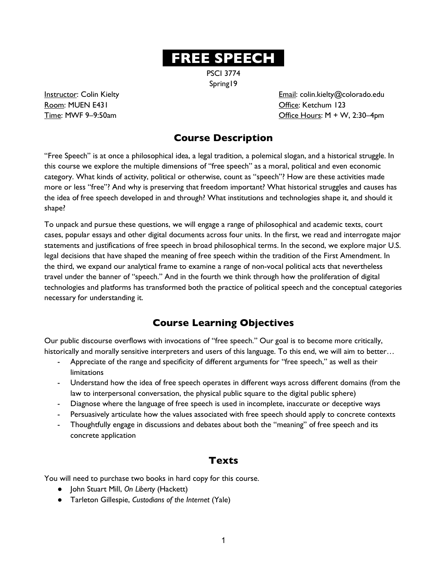# **. FREE SPEECH .**

PSCI 3774 Spring19

Room: MUEN E431 CHECK CHECK CHECK CHECK CHECK CHECK CHECK CHECK CHECK CHECK CHECK CHECK CHECK CHECK CHECK CHECK CHECK CHECK CHECK CHECK CHECK CHECK CHECK CHECK CHECK CHECK CHECK CHECK CHECK CHECK CHECK CHECK CHECK CHECK CH

**Instructor:** Colin Kielty **Email: Colin.kielty@colorado.edu**  $Time: MWF 9-9:50am$   $Office Hours: M + W, 2:30-4pm$ 

## **Course Description**

"Free Speech" is at once a philosophical idea, a legal tradition, a polemical slogan, and a historical struggle. In this course we explore the multiple dimensions of "free speech" as a moral, political and even economic category. What kinds of activity, political or otherwise, count as "speech"? How are these activities made more or less "free"? And why is preserving that freedom important? What historical struggles and causes has the idea of free speech developed in and through? What institutions and technologies shape it, and should it shape?

To unpack and pursue these questions, we will engage a range of philosophical and academic texts, court cases, popular essays and other digital documents across four units. In the first, we read and interrogate major statements and justifications of free speech in broad philosophical terms. In the second, we explore major U.S. legal decisions that have shaped the meaning of free speech within the tradition of the First Amendment. In the third, we expand our analytical frame to examine a range of non-vocal political acts that nevertheless travel under the banner of "speech." And in the fourth we think through how the proliferation of digital technologies and platforms has transformed both the practice of political speech and the conceptual categories necessary for understanding it.

## **Course Learning Objectives**

Our public discourse overflows with invocations of "free speech." Our goal is to become more critically, historically and morally sensitive interpreters and users of this language. To this end, we will aim to better…

- Appreciate of the range and specificity of different arguments for "free speech," as well as their limitations
- Understand how the idea of free speech operates in different ways across different domains (from the law to interpersonal conversation, the physical public square to the digital public sphere)
- Diagnose where the language of free speech is used in incomplete, inaccurate or deceptive ways
- Persuasively articulate how the values associated with free speech should apply to concrete contexts
- Thoughtfully engage in discussions and debates about both the "meaning" of free speech and its concrete application

## **Texts**

You will need to purchase two books in hard copy for this course.

- John Stuart Mill, *On Liberty* (Hackett)
- Tarleton Gillespie, *Custodians of the Internet* (Yale)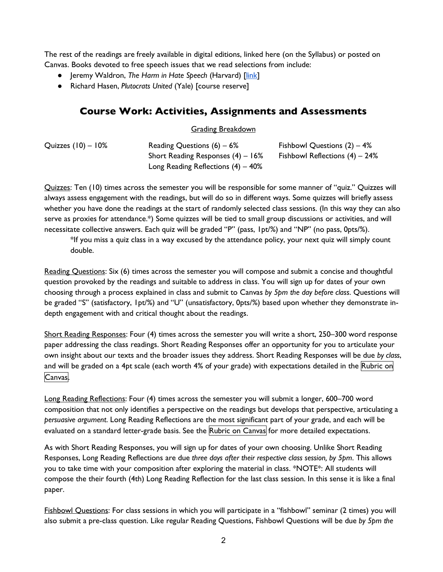The rest of the readings are freely available in digital editions, linked here (on the Syllabus) or posted on Canvas. Books devoted to free speech issues that we read selections from include:

- Jeremy Waldron, *The Harm in Hate Speech* (Harvard) [link]
- Richard Hasen, *Plutocrats United* (Yale) [course reserve]

### **Course Work: Activities, Assignments and Assessments**

#### Grading Breakdown

| Quizzes $(10) - 10\%$ | Reading Questions $(6) - 6%$          | Fishbowl Questions $(2) - 4%$     |
|-----------------------|---------------------------------------|-----------------------------------|
|                       | Short Reading Responses $(4) - 16\%$  | Fishbowl Reflections $(4) - 24\%$ |
|                       | Long Reading Reflections $(4) - 40\%$ |                                   |

Quizzes: Ten (10) times across the semester you will be responsible for some manner of "quiz." Quizzes will always assess engagement with the readings, but will do so in different ways. Some quizzes will briefly assess whether you have done the readings at the start of randomly selected class sessions. (In this way they can also serve as proxies for attendance.\*) Some quizzes will be tied to small group discussions or activities, and will necessitate collective answers. Each quiz will be graded "P" (pass, 1pt/%) and "NP" (no pass, 0pts/%).

\*If you miss a quiz class in a way excused by the attendance policy, your next quiz will simply count double.

Reading Questions: Six (6) times across the semester you will compose and submit a concise and thoughtful question provoked by the readings and suitable to address in class. You will sign up for dates of your own choosing through a process explained in class and submit to Canvas *by 5pm the day before class*. Questions will be graded "S" (satisfactory, 1pt/%) and "U" (unsatisfactory, 0pts/%) based upon whether they demonstrate indepth engagement with and critical thought about the readings.

Short Reading Responses: Four (4) times across the semester you will write a short, 250–300 word response paper addressing the class readings. Short Reading Responses offer an opportunity for you to articulate your own insight about our texts and the broader issues they address. Short Reading Responses will be due *by class*, and will be graded on a 4pt scale (each worth 4% of your grade) with expectations detailed in the Rubric on Canvas.

Long Reading Reflections: Four (4) times across the semester you will submit a longer, 600–700 word composition that not only identifies a perspective on the readings but develops that perspective, articulating a *persuasive argument*. Long Reading Reflections are the most significant part of your grade, and each will be evaluated on a standard letter-grade basis. See the Rubric on Canvas for more detailed expectations.

As with Short Reading Responses, you will sign up for dates of your own choosing. Unlike Short Reading Responses, Long Reading Reflections are due *three days after their respective class session, by 5pm*. This allows you to take time with your composition after exploring the material in class. \*NOTE\*: All students will compose the their fourth (4th) Long Reading Reflection for the last class session. In this sense it is like a final paper.

Fishbowl Questions: For class sessions in which you will participate in a "fishbowl" seminar (2 times) you will also submit a pre-class question. Like regular Reading Questions, Fishbowl Questions will be due *by 5pm the*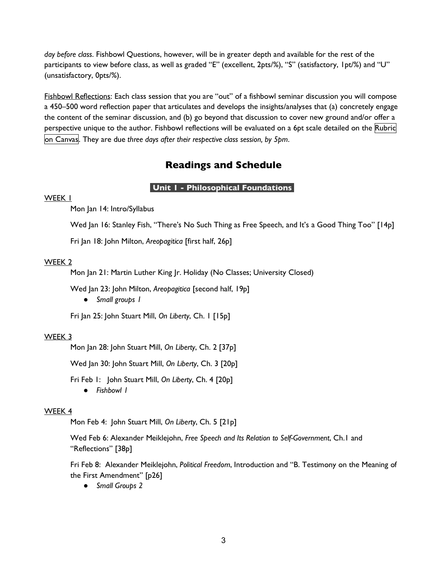*day before class*. Fishbowl Questions, however, will be in greater depth and available for the rest of the participants to view before class, as well as graded "E" (excellent, 2pts/%), "S" (satisfactory, 1pt/%) and "U" (unsatisfactory, 0pts/%).

Fishbowl Reflections: Each class session that you are "out" of a fishbowl seminar discussion you will compose a 450–500 word reflection paper that articulates and develops the insights/analyses that (a) concretely engage the content of the seminar discussion, and (b) go beyond that discussion to cover new ground and/or offer a perspective unique to the author. Fishbowl reflections will be evaluated on a 6pt scale detailed on the Rubric on Canvas. They are due *three days after their respective class session, by 5pm*.

### **Readings and Schedule**

#### **Unit 1 - Philosophical Foundations .**

#### WEEK 1

Mon Jan 14: Intro/Syllabus

Wed Jan 16: Stanley Fish, "There's No Such Thing as Free Speech, and It's a Good Thing Too" [14p]

Fri Jan 18: John Milton, *Areopagitica* [first half, 26p]

#### WEEK 2

Mon Jan 21: Martin Luther King Jr. Holiday (No Classes; University Closed)

Wed Jan 23: John Milton, *Areopagitica* [second half, 19p]

● *Small groups 1*

Fri Jan 25: John Stuart Mill, *On Liberty*, Ch. 1 [15p]

#### WEEK 3

Mon Jan 28: John Stuart Mill, *On Liberty*, Ch. 2 [37p]

Wed Jan 30: John Stuart Mill, *On Liberty*, Ch. 3 [20p]

Fri Feb 1: John Stuart Mill, *On Liberty*, Ch. 4 [20p] ● *Fishbowl 1*

#### WEEK 4

Mon Feb 4: John Stuart Mill, *On Liberty*, Ch. 5 [21p]

Wed Feb 6: Alexander Meiklejohn, *Free Speech and Its Relation to Self-Government*, Ch.1 and "Reflections" [38p]

Fri Feb 8: Alexander Meiklejohn, *Political Freedom*, Introduction and "B. Testimony on the Meaning of the First Amendment" [p26]

● *Small Groups 2*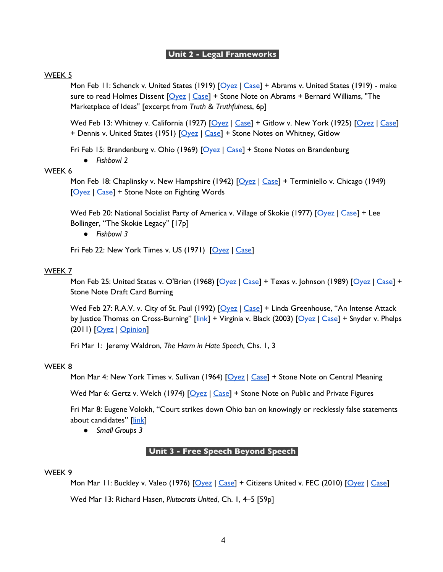#### **Unit 2 - Legal Frameworks .**

#### WEEK 5

Mon Feb 11: Schenck v. United States (1919)  $\sqrt{\frac{6yez}{\text{Case}}} + \text{Abrams}$  v. United States (1919) - make sure to read Holmes Dissent  $[Oyez | Case] +$  Stone Note on Abrams + Bernard Williams, "The Marketplace of Ideas" [excerpt from *Truth & Truthfulness*, 6p]

Wed Feb 13: Whitney v. California (1927) [Oyez | Case] + Gitlow v. New York (1925) [Oyez | Case] + Dennis v. United States (1951) [Oyez | Case] + Stone Notes on Whitney, Gitlow

Fri Feb 15: Brandenburg v. Ohio (1969)  $\sqrt{\frac{6yez}{\text{2se}}} +$  Stone Notes on Brandenburg

● *Fishbowl 2*

#### WEEK 6

Mon Feb 18: Chaplinsky v. New Hampshire (1942) [Oyez | Case] + Terminiello v. Chicago (1949) [Oyez | Case] + Stone Note on Fighting Words

Wed Feb 20: National Socialist Party of America v. Village of Skokie (1977) [Oyez | Case] + Lee Bollinger, "The Skokie Legacy" [17p]

● *Fishbowl 3*

Fri Feb 22: New York Times v. US (1971) [Oyez | Case]

#### WEEK 7

Mon Feb 25: United States v. O'Brien (1968)  $\sqrt{2 \text{e} \cdot \text{e}^2}$  + Texas v. Johnson (1989)  $\sqrt{2 \text{e} \cdot \text{e}^2}$  + Texas v. Johnson (1989)  $\sqrt{2 \text{e} \cdot \text{e}^2}$ Stone Note Draft Card Burning

Wed Feb 27: R.A.V. v. City of St. Paul (1992) [Oyez | Case] + Linda Greenhouse, "An Intense Attack by Justice Thomas on Cross-Burning" [link] + Virginia v. Black (2003) [Oyez | Case] + Snyder v. Phelps (2011) [Oyez | Opinion]

Fri Mar 1: Jeremy Waldron, *The Harm in Hate Speech,* Chs. 1, 3

#### WEEK 8

Mon Mar 4: New York Times v. Sullivan (1964) [Oyez | Case] + Stone Note on Central Meaning

Wed Mar 6: Gertz v. Welch (1974) [Oyez | Case] + Stone Note on Public and Private Figures

Fri Mar 8: Eugene Volokh, "Court strikes down Ohio ban on knowingly or recklessly false statements about candidates" [link]

● *Small Groups 3*

#### **Unit 3 - Free Speech Beyond Speech .**

#### WEEK 9

Mon Mar 11: Buckley v. Valeo (1976) [Oyez | Case] + Citizens United v. FEC (2010) [Oyez | Case] Wed Mar 13: Richard Hasen, *Plutocrats United*, Ch. 1, 4–5 [59p]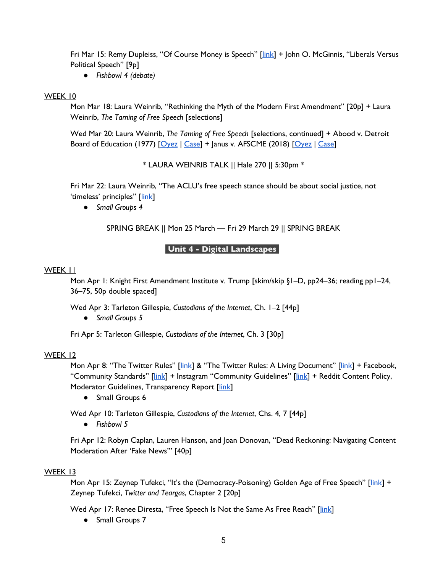Fri Mar 15: Remy Dupleiss, "Of Course Money is Speech" [link] + John O. McGinnis, "Liberals Versus Political Speech" [9p]

● *Fishbowl 4 (debate)*

#### WEEK 10

Mon Mar 18: Laura Weinrib, "Rethinking the Myth of the Modern First Amendment" [20p] + Laura Weinrib, *The Taming of Free Speech* [selections]

Wed Mar 20: Laura Weinrib, *The Taming of Free Speech* [selections, continued] + Abood v. Detroit Board of Education (1977) [Oyez | Case] + Janus v. AFSCME (2018) [Oyez | Case]

\* LAURA WEINRIB TALK || Hale 270 || 5:30pm \*

Fri Mar 22: Laura Weinrib, "The ACLU's free speech stance should be about social justice, not 'timeless' principles" [link]

● *Small Groups 4*

SPRING BREAK || Mon 25 March — Fri 29 March 29 || SPRING BREAK

#### **Unit 4 - Digital Landscapes .**

#### WEEK 11

Mon Apr 1: Knight First Amendment Institute v. Trump [skim/skip §1–D, pp24–36; reading pp1–24, 36–75, 50p double spaced]

Wed Apr 3: Tarleton Gillespie, *Custodians of the Internet*, Ch. 1–2 [44p]

● *Small Groups 5*

Fri Apr 5: Tarleton Gillespie, *Custodians of the Internet*, Ch. 3 [30p]

#### WEEK 12

Mon Apr 8: "The Twitter Rules" [link] & "The Twitter Rules: A Living Document" [link] + Facebook, "Community Standards" [link] + Instagram "Community Guidelines" [link] + Reddit Content Policy, Moderator Guidelines, Transparency Report [link]

● Small Groups 6

Wed Apr 10: Tarleton Gillespie, *Custodians of the Internet*, Chs. 4, 7 [44p]

● *Fishbowl 5*

Fri Apr 12: Robyn Caplan, Lauren Hanson, and Joan Donovan, "Dead Reckoning: Navigating Content Moderation After 'Fake News'" [40p]

#### WEEK 13

Mon Apr 15: Zeynep Tufekci, "It's the (Democracy-Poisoning) Golden Age of Free Speech" [link] + Zeynep Tufekci, *Twitter and Teargas*, Chapter 2 [20p]

Wed Apr 17: Renee Diresta, "Free Speech Is Not the Same As Free Reach" [link]

● Small Groups 7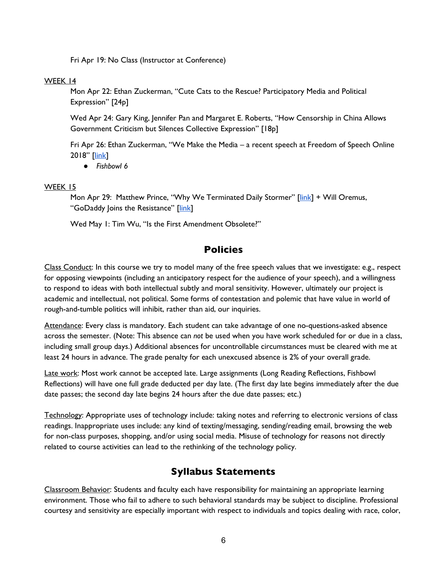Fri Apr 19: No Class (Instructor at Conference)

#### WEEK 14

Mon Apr 22: Ethan Zuckerman, "Cute Cats to the Rescue? Participatory Media and Political Expression" [24p]

Wed Apr 24: Gary King, Jennifer Pan and Margaret E. Roberts, "How Censorship in China Allows Government Criticism but Silences Collective Expression" [18p]

Fri Apr 26: Ethan Zuckerman, "We Make the Media – a recent speech at Freedom of Speech Online 2018" [link]

● *Fishbowl 6*

#### WEEK 15

Mon Apr 29: Matthew Prince, "Why We Terminated Daily Stormer" [link] + Will Oremus, "GoDaddy Joins the Resistance" [link]

Wed May 1: Tim Wu, "Is the First Amendment Obsolete?"

### **Policies**

Class Conduct: In this course we try to model many of the free speech values that we investigate: e.g., respect for opposing viewpoints (including an anticipatory respect for the audience of your speech), and a willingness to respond to ideas with both intellectual subtly and moral sensitivity. However, ultimately our project is academic and intellectual, not political. Some forms of contestation and polemic that have value in world of rough-and-tumble politics will inhibit, rather than aid, our inquiries.

Attendance: Every class is mandatory. Each student can take advantage of one no-questions-asked absence across the semester. (Note: This absence can *not* be used when you have work scheduled for or due in a class, including small group days.) Additional absences for uncontrollable circumstances must be cleared with me at least 24 hours in advance. The grade penalty for each unexcused absence is 2% of your overall grade.

Late work: Most work cannot be accepted late. Large assignments (Long Reading Reflections, Fishbowl Reflections) will have one full grade deducted per day late. (The first day late begins immediately after the due date passes; the second day late begins 24 hours after the due date passes; etc.)

Technology: Appropriate uses of technology include: taking notes and referring to electronic versions of class readings. Inappropriate uses include: any kind of texting/messaging, sending/reading email, browsing the web for non-class purposes, shopping, and/or using social media. Misuse of technology for reasons not directly related to course activities can lead to the rethinking of the technology policy.

### **Syllabus Statements**

Classroom Behavior: Students and faculty each have responsibility for maintaining an appropriate learning environment. Those who fail to adhere to such behavioral standards may be subject to discipline. Professional courtesy and sensitivity are especially important with respect to individuals and topics dealing with race, color,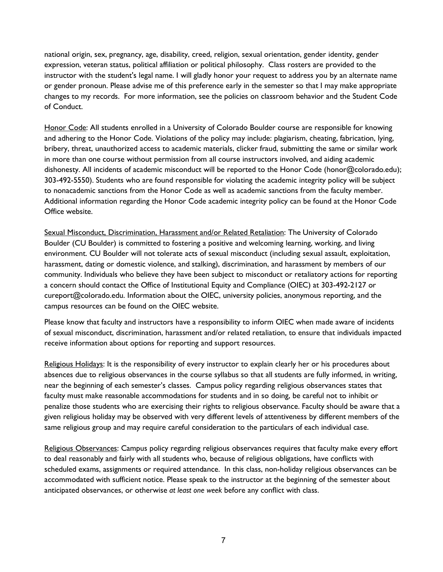national origin, sex, pregnancy, age, disability, creed, religion, sexual orientation, gender identity, gender expression, veteran status, political affiliation or political philosophy. Class rosters are provided to the instructor with the student's legal name. I will gladly honor your request to address you by an alternate name or gender pronoun. Please advise me of this preference early in the semester so that I may make appropriate changes to my records. For more information, see the policies on classroom behavior and the Student Code of Conduct.

Honor Code: All students enrolled in a University of Colorado Boulder course are responsible for knowing and adhering to the Honor Code. Violations of the policy may include: plagiarism, cheating, fabrication, lying, bribery, threat, unauthorized access to academic materials, clicker fraud, submitting the same or similar work in more than one course without permission from all course instructors involved, and aiding academic dishonesty. All incidents of academic misconduct will be reported to the Honor Code (honor@colorado.edu); 303-492-5550). Students who are found responsible for violating the academic integrity policy will be subject to nonacademic sanctions from the Honor Code as well as academic sanctions from the faculty member. Additional information regarding the Honor Code academic integrity policy can be found at the Honor Code Office website.

Sexual Misconduct, Discrimination, Harassment and/or Related Retaliation: The University of Colorado Boulder (CU Boulder) is committed to fostering a positive and welcoming learning, working, and living environment. CU Boulder will not tolerate acts of sexual misconduct (including sexual assault, exploitation, harassment, dating or domestic violence, and stalking), discrimination, and harassment by members of our community. Individuals who believe they have been subject to misconduct or retaliatory actions for reporting a concern should contact the Office of Institutional Equity and Compliance (OIEC) at 303-492-2127 or cureport@colorado.edu. Information about the OIEC, university policies, anonymous reporting, and the campus resources can be found on the OIEC website.

Please know that faculty and instructors have a responsibility to inform OIEC when made aware of incidents of sexual misconduct, discrimination, harassment and/or related retaliation, to ensure that individuals impacted receive information about options for reporting and support resources.

Religious Holidays: It is the responsibility of every instructor to explain clearly her or his procedures about absences due to religious observances in the course syllabus so that all students are fully informed, in writing, near the beginning of each semester's classes. Campus policy regarding religious observances states that faculty must make reasonable accommodations for students and in so doing, be careful not to inhibit or penalize those students who are exercising their rights to religious observance. Faculty should be aware that a given religious holiday may be observed with very different levels of attentiveness by different members of the same religious group and may require careful consideration to the particulars of each individual case.

Religious Observances: Campus policy regarding religious observances requires that faculty make every effort to deal reasonably and fairly with all students who, because of religious obligations, have conflicts with scheduled exams, assignments or required attendance. In this class, non-holiday religious observances can be accommodated with sufficient notice. Please speak to the instructor at the beginning of the semester about anticipated observances, or otherwise *at least one week* before any conflict with class.